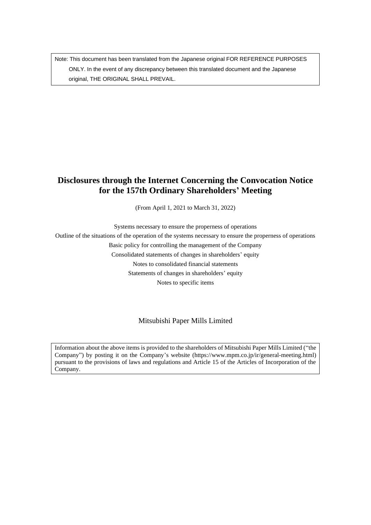Note: This document has been translated from the Japanese original FOR REFERENCE PURPOSES ONLY. In the event of any discrepancy between this translated document and the Japanese original, THE ORIGINAL SHALL PREVAIL.

# **Disclosures through the Internet Concerning the Convocation Notice for the 157th Ordinary Shareholders' Meeting**

(From April 1, 2021 to March 31, 2022)

Systems necessary to ensure the properness of operations

Outline of the situations of the operation of the systems necessary to ensure the properness of operations

Basic policy for controlling the management of the Company

Consolidated statements of changes in shareholders' equity

Notes to consolidated financial statements

Statements of changes in shareholders' equity

Notes to specific items

# Mitsubishi Paper Mills Limited

Information about the above items is provided to the shareholders of Mitsubishi Paper Mills Limited ("the Company") by posting it on the Company's website (https://www.mpm.co.jp/ir/general-meeting.html) pursuant to the provisions of laws and regulations and Article 15 of the Articles of Incorporation of the Company.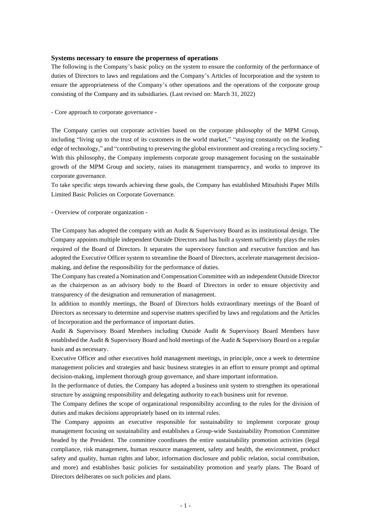# **Systems necessary to ensure the properness of operations**

The following is the Company's basic policy on the system to ensure the conformity of the performance of duties of Directors to laws and regulations and the Company's Articles of Incorporation and the system to ensure the appropriateness of the Company's other operations and the operations of the corporate group consisting of the Company and its subsidiaries. (Last revised on: March 31, 2022)

- Core approach to corporate governance -

The Company carries out corporate activities based on the corporate philosophy of the MPM Group, including "living up to the trust of its customers in the world market," "staying constantly on the leading edge of technology," and "contributing to preserving the global environment and creating a recycling society." With this philosophy, the Company implements corporate group management focusing on the sustainable growth of the MPM Group and society, raises its management transparency, and works to improve its corporate governance.

To take specific steps towards achieving these goals, the Company has established Mitsubishi Paper Mills Limited Basic Policies on Corporate Governance.

- Overview of corporate organization -

The Company has adopted the company with an Audit & Supervisory Board as its institutional design. The Company appoints multiple independent Outside Directors and has built a system sufficiently plays the roles required of the Board of Directors. It separates the supervisory function and executive function and has adopted the Executive Officer system to streamline the Board of Directors, accelerate management decisionmaking, and define the responsibility for the performance of duties.

The Company has created a Nomination and Compensation Committee with an independent Outside Director as the chairperson as an advisory body to the Board of Directors in order to ensure objectivity and transparency of the designation and remuneration of management.

In addition to monthly meetings, the Board of Directors holds extraordinary meetings of the Board of Directors as necessary to determine and supervise matters specified by laws and regulations and the Articles of Incorporation and the performance of important duties.

Audit & Supervisory Board Members including Outside Audit & Supervisory Board Members have established the Audit & Supervisory Board and hold meetings of the Audit & Supervisory Board on a regular basis and as necessary.

Executive Officer and other executives hold management meetings, in principle, once a week to determine management policies and strategies and basic business strategies in an effort to ensure prompt and optimal decision-making, implement thorough group governance, and share important information.

In the performance of duties, the Company has adopted a business unit system to strengthen its operational structure by assigning responsibility and delegating authority to each business unit for revenue.

The Company defines the scope of organizational responsibility according to the rules for the division of duties and makes decisions appropriately based on its internal rules.

The Company appoints an executive responsible for sustainability to implement corporate group management focusing on sustainability and establishes a Group-wide Sustainability Promotion Committee headed by the President. The committee coordinates the entire sustainability promotion activities (legal compliance, risk management, human resource management, safety and health, the environment, product safety and quality, human rights and labor, information disclosure and public relation, social contribution, and more) and establishes basic policies for sustainability promotion and yearly plans. The Board of Directors deliberates on such policies and plans.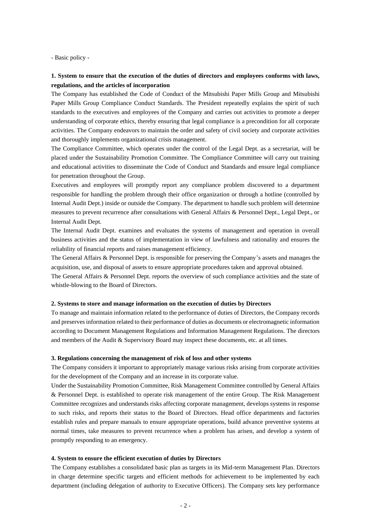- Basic policy -

# **1. System to ensure that the execution of the duties of directors and employees conforms with laws, regulations, and the articles of incorporation**

The Company has established the Code of Conduct of the Mitsubishi Paper Mills Group and Mitsubishi Paper Mills Group Compliance Conduct Standards. The President repeatedly explains the spirit of such standards to the executives and employees of the Company and carries out activities to promote a deeper understanding of corporate ethics, thereby ensuring that legal compliance is a precondition for all corporate activities. The Company endeavors to maintain the order and safety of civil society and corporate activities and thoroughly implements organizational crisis management.

The Compliance Committee, which operates under the control of the Legal Dept. as a secretariat, will be placed under the Sustainability Promotion Committee. The Compliance Committee will carry out training and educational activities to disseminate the Code of Conduct and Standards and ensure legal compliance for penetration throughout the Group.

Executives and employees will promptly report any compliance problem discovered to a department responsible for handling the problem through their office organization or through a hotline (controlled by Internal Audit Dept.) inside or outside the Company. The department to handle such problem will determine measures to prevent recurrence after consultations with General Affairs & Personnel Dept., Legal Dept., or Internal Audit Dept.

The Internal Audit Dept. examines and evaluates the systems of management and operation in overall business activities and the status of implementation in view of lawfulness and rationality and ensures the reliability of financial reports and raises management efficiency.

The General Affairs & Personnel Dept. is responsible for preserving the Company's assets and manages the acquisition, use, and disposal of assets to ensure appropriate procedures taken and approval obtained.

The General Affairs & Personnel Dept. reports the overview of such compliance activities and the state of whistle-blowing to the Board of Directors.

#### **2. Systems to store and manage information on the execution of duties by Directors**

To manage and maintain information related to the performance of duties of Directors, the Company records and preserves information related to their performance of duties as documents or electromagnetic information according to Document Management Regulations and Information Management Regulations. The directors and members of the Audit & Supervisory Board may inspect these documents, etc. at all times.

# **3. Regulations concerning the management of risk of loss and other systems**

The Company considers it important to appropriately manage various risks arising from corporate activities for the development of the Company and an increase in its corporate value.

Under the Sustainability Promotion Committee, Risk Management Committee controlled by General Affairs & Personnel Dept. is established to operate risk management of the entire Group. The Risk Management Committee recognizes and understands risks affecting corporate management, develops systems in response to such risks, and reports their status to the Board of Directors. Head office departments and factories establish rules and prepare manuals to ensure appropriate operations, build advance preventive systems at normal times, take measures to prevent recurrence when a problem has arisen, and develop a system of promptly responding to an emergency.

#### **4. System to ensure the efficient execution of duties by Directors**

The Company establishes a consolidated basic plan as targets in its Mid-term Management Plan. Directors in charge determine specific targets and efficient methods for achievement to be implemented by each department (including delegation of authority to Executive Officers). The Company sets key performance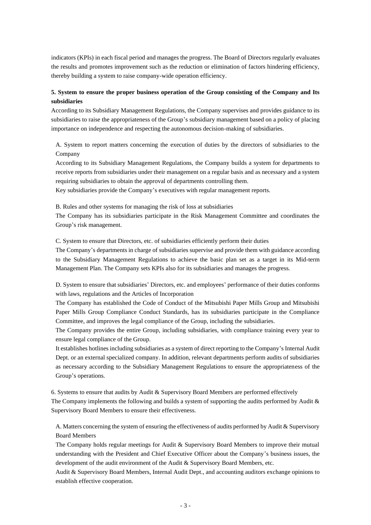indicators (KPIs) in each fiscal period and manages the progress. The Board of Directors regularly evaluates the results and promotes improvement such as the reduction or elimination of factors hindering efficiency, thereby building a system to raise company-wide operation efficiency.

# **5. System to ensure the proper business operation of the Group consisting of the Company and Its subsidiaries**

According to its Subsidiary Management Regulations, the Company supervises and provides guidance to its subsidiaries to raise the appropriateness of the Group's subsidiary management based on a policy of placing importance on independence and respecting the autonomous decision-making of subsidiaries.

A. System to report matters concerning the execution of duties by the directors of subsidiaries to the Company

According to its Subsidiary Management Regulations, the Company builds a system for departments to receive reports from subsidiaries under their management on a regular basis and as necessary and a system requiring subsidiaries to obtain the approval of departments controlling them.

Key subsidiaries provide the Company's executives with regular management reports.

B. Rules and other systems for managing the risk of loss at subsidiaries

The Company has its subsidiaries participate in the Risk Management Committee and coordinates the Group's risk management.

C. System to ensure that Directors, etc. of subsidiaries efficiently perform their duties

The Company's departments in charge of subsidiaries supervise and provide them with guidance according to the Subsidiary Management Regulations to achieve the basic plan set as a target in its Mid-term Management Plan. The Company sets KPIs also for its subsidiaries and manages the progress.

D. System to ensure that subsidiaries' Directors, etc. and employees' performance of their duties conforms with laws, regulations and the Articles of Incorporation

The Company has established the Code of Conduct of the Mitsubishi Paper Mills Group and Mitsubishi Paper Mills Group Compliance Conduct Standards, has its subsidiaries participate in the Compliance Committee, and improves the legal compliance of the Group, including the subsidiaries.

The Company provides the entire Group, including subsidiaries, with compliance training every year to ensure legal compliance of the Group.

It establishes hotlines including subsidiaries as a system of direct reporting to the Company's Internal Audit Dept. or an external specialized company. In addition, relevant departments perform audits of subsidiaries as necessary according to the Subsidiary Management Regulations to ensure the appropriateness of the Group's operations.

6. Systems to ensure that audits by Audit & Supervisory Board Members are performed effectively

The Company implements the following and builds a system of supporting the audits performed by Audit & Supervisory Board Members to ensure their effectiveness.

A. Matters concerning the system of ensuring the effectiveness of audits performed by Audit & Supervisory Board Members

The Company holds regular meetings for Audit & Supervisory Board Members to improve their mutual understanding with the President and Chief Executive Officer about the Company's business issues, the development of the audit environment of the Audit & Supervisory Board Members, etc.

Audit & Supervisory Board Members, Internal Audit Dept., and accounting auditors exchange opinions to establish effective cooperation.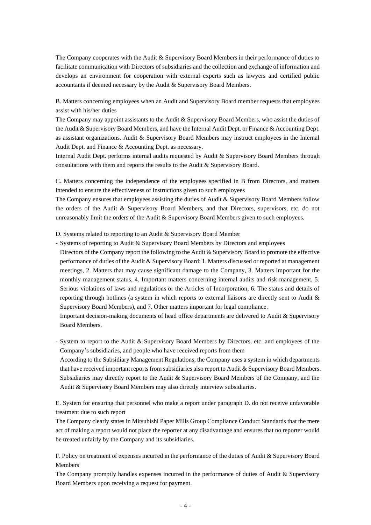The Company cooperates with the Audit & Supervisory Board Members in their performance of duties to facilitate communication with Directors of subsidiaries and the collection and exchange of information and develops an environment for cooperation with external experts such as lawyers and certified public accountants if deemed necessary by the Audit & Supervisory Board Members.

B. Matters concerning employees when an Audit and Supervisory Board member requests that employees assist with his/her duties

The Company may appoint assistants to the Audit & Supervisory Board Members, who assist the duties of the Audit & Supervisory Board Members, and have the Internal Audit Dept. or Finance & Accounting Dept. as assistant organizations. Audit & Supervisory Board Members may instruct employees in the Internal Audit Dept. and Finance & Accounting Dept. as necessary.

Internal Audit Dept. performs internal audits requested by Audit & Supervisory Board Members through consultations with them and reports the results to the Audit & Supervisory Board.

C. Matters concerning the independence of the employees specified in B from Directors, and matters intended to ensure the effectiveness of instructions given to such employees

The Company ensures that employees assisting the duties of Audit & Supervisory Board Members follow the orders of the Audit & Supervisory Board Members, and that Directors, supervisors, etc. do not unreasonably limit the orders of the Audit & Supervisory Board Members given to such employees.

D. Systems related to reporting to an Audit & Supervisory Board Member

- Systems of reporting to Audit & Supervisory Board Members by Directors and employees
- Directors of the Company report the following to the Audit & Supervisory Board to promote the effective performance of duties of the Audit & Supervisory Board: 1. Matters discussed or reported at management meetings, 2. Matters that may cause significant damage to the Company, 3. Matters important for the monthly management status, 4. Important matters concerning internal audits and risk management, 5. Serious violations of laws and regulations or the Articles of Incorporation, 6. The status and details of reporting through hotlines (a system in which reports to external liaisons are directly sent to Audit & Supervisory Board Members), and 7. Other matters important for legal compliance.

Important decision-making documents of head office departments are delivered to Audit & Supervisory Board Members.

- System to report to the Audit & Supervisory Board Members by Directors, etc. and employees of the Company's subsidiaries, and people who have received reports from them

According to the Subsidiary Management Regulations, the Company uses a system in which departments that have received important reports from subsidiaries also report to Audit & Supervisory Board Members. Subsidiaries may directly report to the Audit & Supervisory Board Members of the Company, and the Audit & Supervisory Board Members may also directly interview subsidiaries.

E. System for ensuring that personnel who make a report under paragraph D. do not receive unfavorable treatment due to such report

The Company clearly states in Mitsubishi Paper Mills Group Compliance Conduct Standards that the mere act of making a report would not place the reporter at any disadvantage and ensures that no reporter would be treated unfairly by the Company and its subsidiaries.

F. Policy on treatment of expenses incurred in the performance of the duties of Audit & Supervisory Board Members

The Company promptly handles expenses incurred in the performance of duties of Audit & Supervisory Board Members upon receiving a request for payment.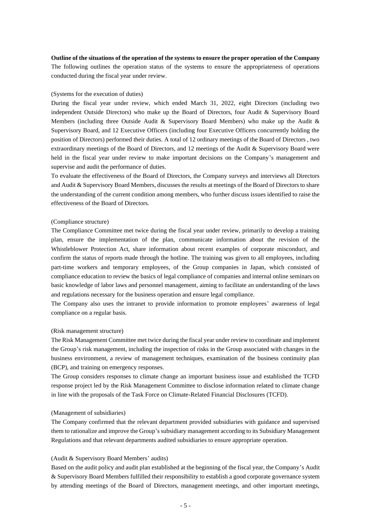# **Outline of the situations of the operation of the systems to ensure the proper operation of the Company**

The following outlines the operation status of the systems to ensure the appropriateness of operations conducted during the fiscal year under review.

# (Systems for the execution of duties)

During the fiscal year under review, which ended March 31, 2022, eight Directors (including two independent Outside Directors) who make up the Board of Directors, four Audit & Supervisory Board Members (including three Outside Audit & Supervisory Board Members) who make up the Audit & Supervisory Board, and 12 Executive Officers (including four Executive Officers concurrently holding the position of Directors) performed their duties. A total of 12 ordinary meetings of the Board of Directors , two extraordinary meetings of the Board of Directors, and 12 meetings of the Audit & Supervisory Board were held in the fiscal year under review to make important decisions on the Company's management and supervise and audit the performance of duties.

To evaluate the effectiveness of the Board of Directors, the Company surveys and interviews all Directors and Audit & Supervisory Board Members, discusses the results at meetings of the Board of Directors to share the understanding of the current condition among members, who further discuss issues identified to raise the effectiveness of the Board of Directors.

# (Compliance structure)

The Compliance Committee met twice during the fiscal year under review, primarily to develop a training plan, ensure the implementation of the plan, communicate information about the revision of the Whistleblower Protection Act, share information about recent examples of corporate misconduct, and confirm the status of reports made through the hotline. The training was given to all employees, including part-time workers and temporary employees, of the Group companies in Japan, which consisted of compliance education to review the basics of legal compliance of companies and internal online seminars on basic knowledge of labor laws and personnel management, aiming to facilitate an understanding of the laws and regulations necessary for the business operation and ensure legal compliance.

The Company also uses the intranet to provide information to promote employees' awareness of legal compliance on a regular basis.

# (Risk management structure)

The Risk Management Committee met twice during the fiscal year under review to coordinate and implement the Group's risk management, including the inspection of risks in the Group associated with changes in the business environment, a review of management techniques, examination of the business continuity plan (BCP), and training on emergency responses.

The Group considers responses to climate change an important business issue and established the TCFD response project led by the Risk Management Committee to disclose information related to climate change in line with the proposals of the Task Force on Climate-Related Financial Disclosures (TCFD).

#### (Management of subsidiaries)

The Company confirmed that the relevant department provided subsidiaries with guidance and supervised them to rationalize and improve the Group's subsidiary management according to its Subsidiary Management Regulations and that relevant departments audited subsidiaries to ensure appropriate operation.

#### (Audit & Supervisory Board Members' audits)

Based on the audit policy and audit plan established at the beginning of the fiscal year, the Company's Audit & Supervisory Board Members fulfilled their responsibility to establish a good corporate governance system by attending meetings of the Board of Directors, management meetings, and other important meetings,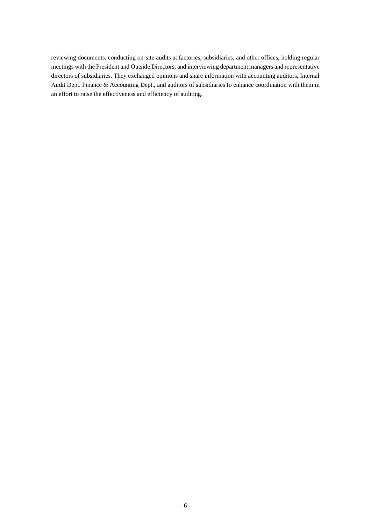reviewing documents, conducting on-site audits at factories, subsidiaries, and other offices, holding regular meetings with the President and Outside Directors, and interviewing department managers and representative directors of subsidiaries. They exchanged opinions and share information with accounting auditors, Internal Audit Dept. Finance & Accounting Dept., and auditors of subsidiaries to enhance coordination with them in an effort to raise the effectiveness and efficiency of auditing.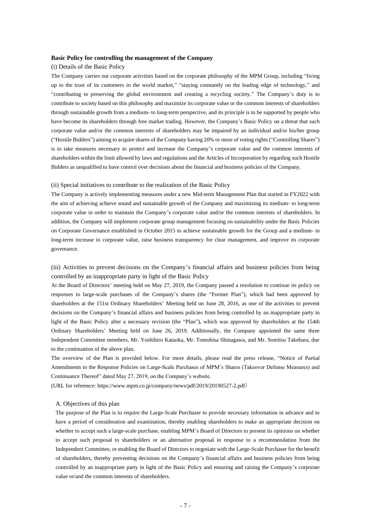# **Basic Policy for controlling the management of the Company**

#### (i) Details of the Basic Policy

The Company carries out corporate activities based on the corporate philosophy of the MPM Group, including "living up to the trust of its customers in the world market," "staying constantly on the leading edge of technology," and "contributing to preserving the global environment and creating a recycling society." The Company's duty is to contribute to society based on this philosophy and maximize its corporate value or the common interests of shareholders through sustainable growth from a medium- to long-term perspective, and its principle is to be supported by people who have become its shareholders through free market trading. However, the Company's Basic Policy on a threat that such corporate value and/or the common interests of shareholders may be impaired by an individual and/or his/her group ("Hostile Bidders") aiming to acquire shares of the Company having 20% or more of voting rights ("Controlling Shares") is to take measures necessary to protect and increase the Company's corporate value and the common interests of shareholders within the limit allowed by laws and regulations and the Articles of Incorporation by regarding such Hostile Bidders as unqualified to have control over decisions about the financial and business policies of the Company.

#### (ii) Special initiatives to contribute to the realization of the Basic Policy

The Company is actively implementing measures under a new Mid-term Management Plan that started in FY2022 with the aim of achieving achieve sound and sustainable growth of the Company and maximizing its medium- to long-term corporate value in order to maintain the Company's corporate value and/or the common interests of shareholders. In addition, the Company will implement corporate group management focusing on sustainability under the Basic Policies on Corporate Governance established in October 2015 to achieve sustainable growth for the Group and a medium- to long-term increase in corporate value, raise business transparency for clear management, and improve its corporate governance.

(iii) Activities to prevent decisions on the Company's financial affairs and business policies from being controlled by an inappropriate party in light of the Basic Policy

At the Board of Directors' meeting held on May 27, 2019, the Company passed a resolution to continue its policy on responses to large-scale purchases of the Company's shares (the "Former Plan"), which had been approved by shareholders at the 151st Ordinary Shareholders' Meeting held on June 28, 2016, as one of the activities to prevent decisions on the Company's financial affairs and business policies from being controlled by an inappropriate party in light of the Basic Policy after a necessary revision (the "Plan"), which was approved by shareholders at the 154th Ordinary Shareholders' Meeting held on June 26, 2019. Additionally, the Company appointed the same three Independent Committee members, Mr. Yoshihiro Kataoka, Mr. Tomohisa Shinagawa, and Mr. Somitsu Takehara, due to the continuation of the above plan.

The overview of the Plan is provided below. For more details, please read the press release, "Notice of Partial Amendments to the Response Policies on Large-Scale Purchases of MPM's Shares (Takeover Defense Measures) and Continuance Thereof" dated May 27, 2019, on the Company's website.

(URL for reference: https://www.mpm.co.jp/company/news/pdf/2019/20190527-2.pdf)

#### A. Objectives of this plan

The purpose of the Plan is to require the Large-Scale Purchaser to provide necessary information in advance and to have a period of consideration and examination, thereby enabling shareholders to make an appropriate decision on whether to accept such a large-scale purchase, enabling MPM's Board of Directors to present its opinions on whether to accept such proposal to shareholders or an alternative proposal in response to a recommendation from the Independent Committee, or enabling the Board of Directors to negotiate with the Large-Scale Purchaser for the benefit of shareholders, thereby preventing decisions on the Company's financial affairs and business policies from being controlled by an inappropriate party in light of the Basic Policy and ensuring and raising the Company's corporate value or/and the common interests of shareholders.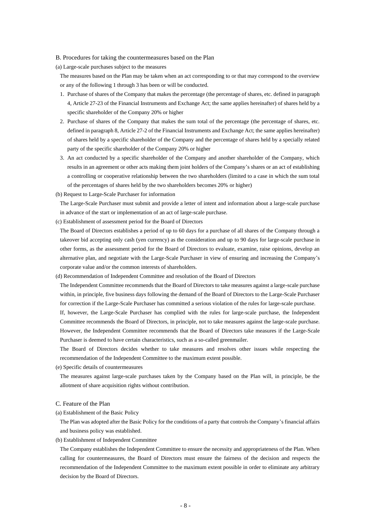#### B. Procedures for taking the countermeasures based on the Plan

(a) Large-scale purchases subject to the measures

The measures based on the Plan may be taken when an act corresponding to or that may correspond to the overview or any of the following 1 through 3 has been or will be conducted.

- 1. Purchase of shares of the Company that makes the percentage (the percentage of shares, etc. defined in paragraph 4, Article 27-23 of the Financial Instruments and Exchange Act; the same applies hereinafter) of shares held by a specific shareholder of the Company 20% or higher
- 2. Purchase of shares of the Company that makes the sum total of the percentage (the percentage of shares, etc. defined in paragraph 8, Article 27-2 of the Financial Instruments and Exchange Act; the same applies hereinafter) of shares held by a specific shareholder of the Company and the percentage of shares held by a specially related party of the specific shareholder of the Company 20% or higher
- 3. An act conducted by a specific shareholder of the Company and another shareholder of the Company, which results in an agreement or other acts making them joint holders of the Company's shares or an act of establishing a controlling or cooperative relationship between the two shareholders (limited to a case in which the sum total of the percentages of shares held by the two shareholders becomes 20% or higher)
- (b) Request to Large-Scale Purchaser for information

The Large-Scale Purchaser must submit and provide a letter of intent and information about a large-scale purchase in advance of the start or implementation of an act of large-scale purchase.

(c) Establishment of assessment period for the Board of Directors

The Board of Directors establishes a period of up to 60 days for a purchase of all shares of the Company through a takeover bid accepting only cash (yen currency) as the consideration and up to 90 days for large-scale purchase in other forms, as the assessment period for the Board of Directors to evaluate, examine, raise opinions, develop an alternative plan, and negotiate with the Large-Scale Purchaser in view of ensuring and increasing the Company's corporate value and/or the common interests of shareholders.

(d) Recommendation of Independent Committee and resolution of the Board of Directors

The Independent Committee recommends that the Board of Directors to take measures against a large-scale purchase within, in principle, five business days following the demand of the Board of Directors to the Large-Scale Purchaser for correction if the Large-Scale Purchaser has committed a serious violation of the rules for large-scale purchase.

If, however, the Large-Scale Purchaser has complied with the rules for large-scale purchase, the Independent Committee recommends the Board of Directors, in principle, not to take measures against the large-scale purchase. However, the Independent Committee recommends that the Board of Directors take measures if the Large-Scale Purchaser is deemed to have certain characteristics, such as a so-called greenmailer.

The Board of Directors decides whether to take measures and resolves other issues while respecting the recommendation of the Independent Committee to the maximum extent possible.

(e) Specific details of countermeasures

The measures against large-scale purchases taken by the Company based on the Plan will, in principle, be the allotment of share acquisition rights without contribution.

- C. Feature of the Plan
- (a) Establishment of the Basic Policy

The Plan was adopted after the Basic Policy for the conditions of a party that controls the Company's financial affairs and business policy was established.

(b) Establishment of Independent Committee

The Company establishes the Independent Committee to ensure the necessity and appropriateness of the Plan. When calling for countermeasures, the Board of Directors must ensure the fairness of the decision and respects the recommendation of the Independent Committee to the maximum extent possible in order to eliminate any arbitrary decision by the Board of Directors.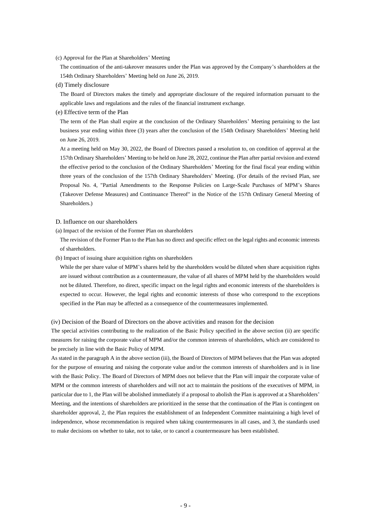(c) Approval for the Plan at Shareholders' Meeting

The continuation of the anti-takeover measures under the Plan was approved by the Company's shareholders at the 154th Ordinary Shareholders' Meeting held on June 26, 2019.

#### (d) Timely disclosure

The Board of Directors makes the timely and appropriate disclosure of the required information pursuant to the applicable laws and regulations and the rules of the financial instrument exchange.

# (e) Effective term of the Plan

The term of the Plan shall expire at the conclusion of the Ordinary Shareholders' Meeting pertaining to the last business year ending within three (3) years after the conclusion of the 154th Ordinary Shareholders' Meeting held on June 26, 2019.

At a meeting held on May 30, 2022, the Board of Directors passed a resolution to, on condition of approval at the 157th Ordinary Shareholders' Meeting to be held on June 28, 2022, continue the Plan after partial revision and extend the effective period to the conclusion of the Ordinary Shareholders' Meeting for the final fiscal year ending within three years of the conclusion of the 157th Ordinary Shareholders' Meeting. (For details of the revised Plan, see Proposal No. 4, "Partial Amendments to the Response Policies on Large-Scale Purchases of MPM's Shares (Takeover Defense Measures) and Continuance Thereof" in the Notice of the 157th Ordinary General Meeting of Shareholders.)

#### D. Influence on our shareholders

(a) Impact of the revision of the Former Plan on shareholders

The revision of the Former Plan to the Plan has no direct and specific effect on the legal rights and economic interests of shareholders.

(b) Impact of issuing share acquisition rights on shareholders

While the per share value of MPM's shares held by the shareholders would be diluted when share acquisition rights are issued without contribution as a countermeasure, the value of all shares of MPM held by the shareholders would not be diluted. Therefore, no direct, specific impact on the legal rights and economic interests of the shareholders is expected to occur. However, the legal rights and economic interests of those who correspond to the exceptions specified in the Plan may be affected as a consequence of the countermeasures implemented.

#### (iv) Decision of the Board of Directors on the above activities and reason for the decision

The special activities contributing to the realization of the Basic Policy specified in the above section (ii) are specific measures for raising the corporate value of MPM and/or the common interests of shareholders, which are considered to be precisely in line with the Basic Policy of MPM.

As stated in the paragraph A in the above section (iii), the Board of Directors of MPM believes that the Plan was adopted for the purpose of ensuring and raising the corporate value and/or the common interests of shareholders and is in line with the Basic Policy. The Board of Directors of MPM does not believe that the Plan will impair the corporate value of MPM or the common interests of shareholders and will not act to maintain the positions of the executives of MPM, in particular due to 1, the Plan will be abolished immediately if a proposal to abolish the Plan is approved at a Shareholders' Meeting, and the intentions of shareholders are prioritized in the sense that the continuation of the Plan is contingent on shareholder approval, 2, the Plan requires the establishment of an Independent Committee maintaining a high level of independence, whose recommendation is required when taking countermeasures in all cases, and 3, the standards used to make decisions on whether to take, not to take, or to cancel a countermeasure has been established.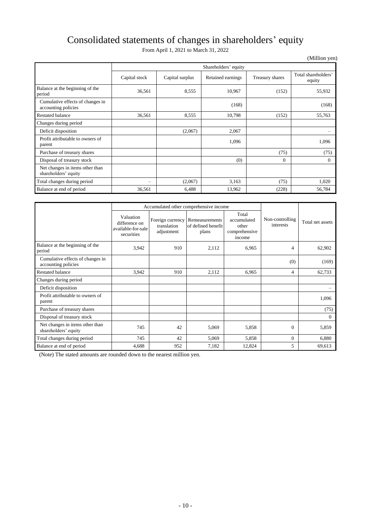# Consolidated statements of changes in shareholders' equity

From April 1, 2021 to March 31, 2022

|                                                         |                      |                 |                   |                 | (Million yen)                 |
|---------------------------------------------------------|----------------------|-----------------|-------------------|-----------------|-------------------------------|
|                                                         | Shareholders' equity |                 |                   |                 |                               |
|                                                         | Capital stock        | Capital surplus | Retained earnings | Treasury shares | Total shareholders'<br>equity |
| Balance at the beginning of the<br>period               | 36,561               | 8,555           | 10,967            | (152)           | 55,932                        |
| Cumulative effects of changes in<br>accounting policies |                      |                 | (168)             |                 | (168)                         |
| <b>Restated balance</b>                                 | 36,561               | 8,555           | 10,798            | (152)           | 55,763                        |
| Changes during period                                   |                      |                 |                   |                 |                               |
| Deficit disposition                                     |                      | (2,067)         | 2,067             |                 |                               |
| Profit attributable to owners of<br>parent              |                      |                 | 1,096             |                 | 1,096                         |
| Purchase of treasury shares                             |                      |                 |                   | (75)            | (75)                          |
| Disposal of treasury stock                              |                      |                 | (0)               | $\Omega$        | $\Omega$                      |
| Net changes in items other than<br>shareholders' equity |                      |                 |                   |                 |                               |
| Total changes during period                             | -                    | (2,067)         | 3,163             | (75)            | 1,020                         |
| Balance at end of period                                | 36,561               | 6,488           | 13,962            | (228)           | 56,784                        |

|                                                         | Accumulated other comprehensive income                         |                                               |                                               |                                                          |                              |                  |
|---------------------------------------------------------|----------------------------------------------------------------|-----------------------------------------------|-----------------------------------------------|----------------------------------------------------------|------------------------------|------------------|
|                                                         | Valuation<br>difference on<br>available-for-sale<br>securities | Foreign currency<br>translation<br>adjustment | Remeasurements<br>of defined benefit<br>plans | Total<br>accumulated<br>other<br>comprehensive<br>income | Non-controlling<br>interests | Total net assets |
| Balance at the beginning of the<br>period               | 3,942                                                          | 910                                           | 2,112                                         | 6,965                                                    | 4                            | 62,902           |
| Cumulative effects of changes in<br>accounting policies |                                                                |                                               |                                               |                                                          | (0)                          | (169)            |
| <b>Restated balance</b>                                 | 3,942                                                          | 910                                           | 2,112                                         | 6,965                                                    | $\overline{4}$               | 62,733           |
| Changes during period                                   |                                                                |                                               |                                               |                                                          |                              |                  |
| Deficit disposition                                     |                                                                |                                               |                                               |                                                          |                              |                  |
| Profit attributable to owners of<br>parent              |                                                                |                                               |                                               |                                                          |                              | 1,096            |
| Purchase of treasury shares                             |                                                                |                                               |                                               |                                                          |                              | (75)             |
| Disposal of treasury stock                              |                                                                |                                               |                                               |                                                          |                              | $\overline{0}$   |
| Net changes in items other than<br>shareholders' equity | 745                                                            | 42                                            | 5,069                                         | 5,858                                                    | $\Omega$                     | 5,859            |
| Total changes during period                             | 745                                                            | 42                                            | 5,069                                         | 5,858                                                    | $\overline{0}$               | 6,880            |
| Balance at end of period                                | 4,688                                                          | 952                                           | 7,182                                         | 12,824                                                   | 5                            | 69,613           |

(Note) The stated amounts are rounded down to the nearest million yen.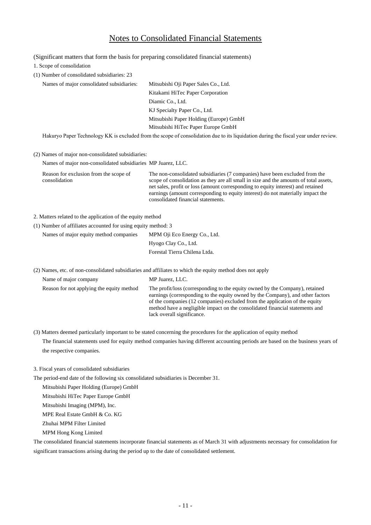# Notes to Consolidated Financial Statements

(Significant matters that form the basis for preparing consolidated financial statements)

1. Scope of consolidation

(1) Number of consolidated subsidiaries: 23

| Names of major consolidated subsidiaries: | Mitsubishi Oji Paper Sales Co., Ltd.   |
|-------------------------------------------|----------------------------------------|
|                                           | Kitakami HiTec Paper Corporation       |
|                                           | Diamic Co., Ltd.                       |
|                                           | KJ Specialty Paper Co., Ltd.           |
|                                           | Mitsubishi Paper Holding (Europe) GmbH |
|                                           | Mitsubishi HiTec Paper Europe GmbH     |
|                                           |                                        |

Hakuryo Paper Technology KK is excluded from the scope of consolidation due to its liquidation during the fiscal year under review.

# (2) Names of major non-consolidated subsidiaries:

Names of major non-consolidated subsidiaries MP Juarez, LLC.

| Reason for exclusion from the scope of | The non-consolidated subsidiaries (7 companies) have been excluded from the           |
|----------------------------------------|---------------------------------------------------------------------------------------|
| consolidation                          | scope of consolidation as they are all small in size and the amounts of total assets, |
|                                        | net sales, profit or loss (amount corresponding to equity interest) and retained      |
|                                        | earnings (amount corresponding to equity interest) do not materially impact the       |
|                                        | consolidated financial statements.                                                    |

- 2. Matters related to the application of the equity method
- (1) Number of affiliates accounted for using equity method: 3

| Names of major equity method companies | MPM Oji Eco Energy Co., Ltd.  |
|----------------------------------------|-------------------------------|
|                                        | Hyogo Clay Co., Ltd.          |
|                                        | Forestal Tierra Chilena Ltda. |

(2) Names, etc. of non-consolidated subsidiaries and affiliates to which the equity method does not apply

| Name of major company                     | MP Juarez, LLC.                                                                                                                                                                                                                                                                                                                                             |
|-------------------------------------------|-------------------------------------------------------------------------------------------------------------------------------------------------------------------------------------------------------------------------------------------------------------------------------------------------------------------------------------------------------------|
| Reason for not applying the equity method | The profit/loss (corresponding to the equity owned by the Company), retained<br>earnings (corresponding to the equity owned by the Company), and other factors<br>of the companies (12 companies) excluded from the application of the equity<br>method have a negligible impact on the consolidated financial statements and<br>lack overall significance. |

(3) Matters deemed particularly important to be stated concerning the procedures for the application of equity method

The financial statements used for equity method companies having different accounting periods are based on the business years of the respective companies.

3. Fiscal years of consolidated subsidiaries

The period-end date of the following six consolidated subsidiaries is December 31.

Mitsubishi Paper Holding (Europe) GmbH

Mitsubishi HiTec Paper Europe GmbH

Mitsubishi Imaging (MPM), Inc.

MPE Real Estate GmbH & Co. KG

Zhuhai MPM Filter Limited

MPM Hong Kong Limited

The consolidated financial statements incorporate financial statements as of March 31 with adjustments necessary for consolidation for significant transactions arising during the period up to the date of consolidated settlement.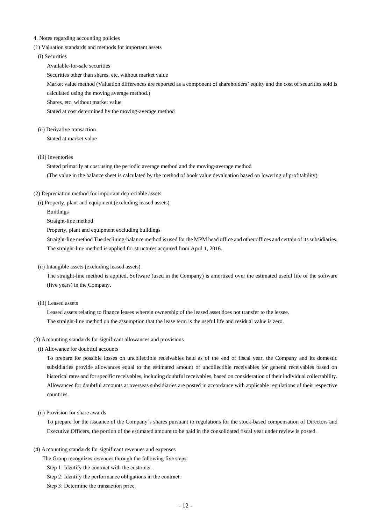#### 4. Notes regarding accounting policies

#### (1) Valuation standards and methods for important assets

- (i) Securities
	- Available-for-sale securities

Securities other than shares, etc. without market value

Market value method (Valuation differences are reported as a component of shareholders' equity and the cost of securities sold is

calculated using the moving average method.)

Shares, etc. without market value

Stated at cost determined by the moving-average method

(ii) Derivative transaction

Stated at market value

(iii) Inventories

Stated primarily at cost using the periodic average method and the moving-average method (The value in the balance sheet is calculated by the method of book value devaluation based on lowering of profitability)

- (2) Depreciation method for important depreciable assets
	- (i) Property, plant and equipment (excluding leased assets)
		- Buildings
		- Straight-line method

Property, plant and equipment excluding buildings

Straight-line method The declining-balance method is used for the MPM head office and other offices and certain of its subsidiaries. The straight-line method is applied for structures acquired from April 1, 2016.

(ii) Intangible assets (excluding leased assets)

The straight-line method is applied. Software (used in the Company) is amortized over the estimated useful life of the software (five years) in the Company.

(iii) Leased assets

Leased assets relating to finance leases wherein ownership of the leased asset does not transfer to the lessee. The straight-line method on the assumption that the lease term is the useful life and residual value is zero.

# (3) Accounting standards for significant allowances and provisions

(i) Allowance for doubtful accounts

To prepare for possible losses on uncollectible receivables held as of the end of fiscal year, the Company and its domestic subsidiaries provide allowances equal to the estimated amount of uncollectible receivables for general receivables based on historical rates and for specific receivables, including doubtful receivables, based on consideration of their individual collectability. Allowances for doubtful accounts at overseas subsidiaries are posted in accordance with applicable regulations of their respective countries.

(ii) Provision for share awards

To prepare for the issuance of the Company's shares pursuant to regulations for the stock-based compensation of Directors and Executive Officers, the portion of the estimated amount to be paid in the consolidated fiscal year under review is posted.

- (4) Accounting standards for significant revenues and expenses
	- The Group recognizes revenues through the following five steps:
		- Step 1: Identify the contract with the customer.
		- Step 2: Identify the performance obligations in the contract.
		- Step 3: Determine the transaction price.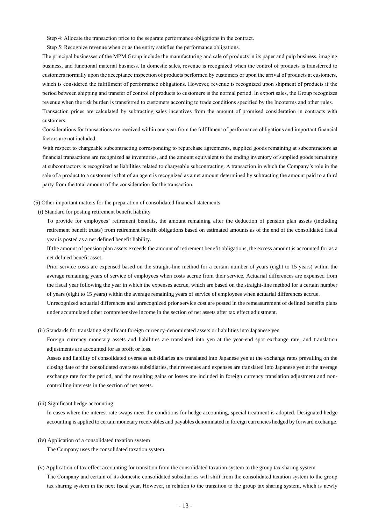Step 4: Allocate the transaction price to the separate performance obligations in the contract.

Step 5: Recognize revenue when or as the entity satisfies the performance obligations.

The principal businesses of the MPM Group include the manufacturing and sale of products in its paper and pulp business, imaging business, and functional material business. In domestic sales, revenue is recognized when the control of products is transferred to customers normally upon the acceptance inspection of products performed by customers or upon the arrival of products at customers, which is considered the fulfillment of performance obligations. However, revenue is recognized upon shipment of products if the period between shipping and transfer of control of products to customers is the normal period. In export sales, the Group recognizes revenue when the risk burden is transferred to customers according to trade conditions specified by the Incoterms and other rules. Transaction prices are calculated by subtracting sales incentives from the amount of promised consideration in contracts with customers.

Considerations for transactions are received within one year from the fulfillment of performance obligations and important financial factors are not included.

With respect to chargeable subcontracting corresponding to repurchase agreements, supplied goods remaining at subcontractors as financial transactions are recognized as inventories, and the amount equivalent to the ending inventory of supplied goods remaining at subcontractors is recognized as liabilities related to chargeable subcontracting. A transaction in which the Company's role in the sale of a product to a customer is that of an agent is recognized as a net amount determined by subtracting the amount paid to a third party from the total amount of the consideration for the transaction.

(5) Other important matters for the preparation of consolidated financial statements

(i) Standard for posting retirement benefit liability

To provide for employees' retirement benefits, the amount remaining after the deduction of pension plan assets (including retirement benefit trusts) from retirement benefit obligations based on estimated amounts as of the end of the consolidated fiscal year is posted as a net defined benefit liability.

If the amount of pension plan assets exceeds the amount of retirement benefit obligations, the excess amount is accounted for as a net defined benefit asset.

Prior service costs are expensed based on the straight-line method for a certain number of years (eight to 15 years) within the average remaining years of service of employees when costs accrue from their service. Actuarial differences are expensed from the fiscal year following the year in which the expenses accrue, which are based on the straight-line method for a certain number of years (eight to 15 years) within the average remaining years of service of employees when actuarial differences accrue.

Unrecognized actuarial differences and unrecognized prior service cost are posted in the remeasurement of defined benefits plans under accumulated other comprehensive income in the section of net assets after tax effect adjustment.

(ii) Standards for translating significant foreign currency-denominated assets or liabilities into Japanese yen

Foreign currency monetary assets and liabilities are translated into yen at the year-end spot exchange rate, and translation adjustments are accounted for as profit or loss.

Assets and liability of consolidated overseas subsidiaries are translated into Japanese yen at the exchange rates prevailing on the closing date of the consolidated overseas subsidiaries, their revenues and expenses are translated into Japanese yen at the average exchange rate for the period, and the resulting gains or losses are included in foreign currency translation adjustment and noncontrolling interests in the section of net assets.

#### (iii) Significant hedge accounting

In cases where the interest rate swaps meet the conditions for hedge accounting, special treatment is adopted. Designated hedge accounting is applied to certain monetary receivables and payables denominated in foreign currencies hedged by forward exchange.

(iv) Application of a consolidated taxation system

The Company uses the consolidated taxation system.

(v) Application of tax effect accounting for transition from the consolidated taxation system to the group tax sharing system The Company and certain of its domestic consolidated subsidiaries will shift from the consolidated taxation system to the group tax sharing system in the next fiscal year. However, in relation to the transition to the group tax sharing system, which is newly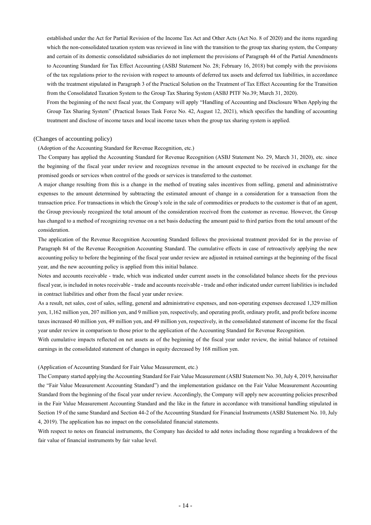established under the Act for Partial Revision of the Income Tax Act and Other Acts (Act No. 8 of 2020) and the items regarding which the non-consolidated taxation system was reviewed in line with the transition to the group tax sharing system, the Company and certain of its domestic consolidated subsidiaries do not implement the provisions of Paragraph 44 of the Partial Amendments to Accounting Standard for Tax Effect Accounting (ASBJ Statement No. 28; February 16, 2018) but comply with the provisions of the tax regulations prior to the revision with respect to amounts of deferred tax assets and deferred tax liabilities, in accordance with the treatment stipulated in Paragraph 3 of the Practical Solution on the Treatment of Tax Effect Accounting for the Transition from the Consolidated Taxation System to the Group Tax Sharing System (ASBJ PITF No.39; March 31, 2020).

From the beginning of the next fiscal year, the Company will apply "Handling of Accounting and Disclosure When Applying the Group Tax Sharing System" (Practical Issues Task Force No. 42, August 12, 2021), which specifies the handling of accounting treatment and disclose of income taxes and local income taxes when the group tax sharing system is applied.

#### (Changes of accounting policy)

(Adoption of the Accounting Standard for Revenue Recognition, etc.)

The Company has applied the Accounting Standard for Revenue Recognition (ASBJ Statement No. 29, March 31, 2020), etc. since the beginning of the fiscal year under review and recognizes revenue in the amount expected to be received in exchange for the promised goods or services when control of the goods or services is transferred to the customer.

A major change resulting from this is a change in the method of treating sales incentives from selling, general and administrative expenses to the amount determined by subtracting the estimated amount of change in a consideration for a transaction from the transaction price. For transactions in which the Group's role in the sale of commodities or products to the customer is that of an agent, the Group previously recognized the total amount of the consideration received from the customer as revenue. However, the Group has changed to a method of recognizing revenue on a net basis deducting the amount paid to third parties from the total amount of the consideration.

The application of the Revenue Recognition Accounting Standard follows the provisional treatment provided for in the proviso of Paragraph 84 of the Revenue Recognition Accounting Standard. The cumulative effects in case of retroactively applying the new accounting policy to before the beginning of the fiscal year under review are adjusted in retained earnings at the beginning of the fiscal year, and the new accounting policy is applied from this initial balance.

Notes and accounts receivable - trade, which was indicated under current assets in the consolidated balance sheets for the previous fiscal year, is included in notes receivable - trade and accounts receivable - trade and other indicated under current liabilities is included in contract liabilities and other from the fiscal year under review.

As a result, net sales, cost of sales, selling, general and administrative expenses, and non-operating expenses decreased 1,329 million yen, 1,162 million yen, 207 million yen, and 9 million yen, respectively, and operating profit, ordinary profit, and profit before income taxes increased 40 million yen, 49 million yen, and 49 million yen, respectively, in the consolidated statement of income for the fiscal year under review in comparison to those prior to the application of the Accounting Standard for Revenue Recognition.

With cumulative impacts reflected on net assets as of the beginning of the fiscal year under review, the initial balance of retained earnings in the consolidated statement of changes in equity decreased by 168 million yen.

#### (Application of Accounting Standard for Fair Value Measurement, etc.)

The Company started applying the Accounting Standard for Fair Value Measurement (ASBJ Statement No. 30, July 4, 2019, hereinafter the "Fair Value Measurement Accounting Standard") and the implementation guidance on the Fair Value Measurement Accounting Standard from the beginning of the fiscal year under review. Accordingly, the Company will apply new accounting policies prescribed in the Fair Value Measurement Accounting Standard and the like in the future in accordance with transitional handling stipulated in Section 19 of the same Standard and Section 44-2 of the Accounting Standard for Financial Instruments (ASBJ Statement No. 10, July 4, 2019). The application has no impact on the consolidated financial statements.

With respect to notes on financial instruments, the Company has decided to add notes including those regarding a breakdown of the fair value of financial instruments by fair value level.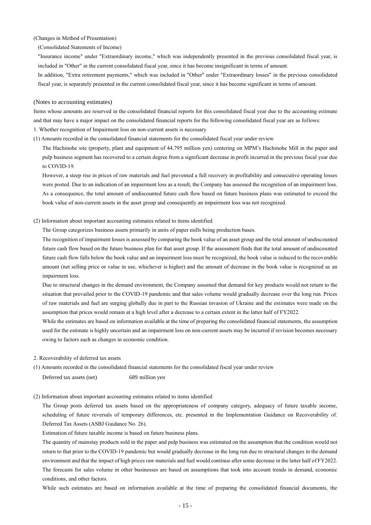(Changes in Method of Presentation)

(Consolidated Statements of Income)

"Insurance income" under "Extraordinary income," which was independently presented in the previous consolidated fiscal year, is included in "Other" in the current consolidated fiscal year, since it has become insignificant in terms of amount.

In addition, "Extra retirement payments," which was included in "Other" under "Extraordinary losses" in the previous consolidated fiscal year, is separately presented in the current consolidated fiscal year, since it has become significant in terms of amount.

#### (Notes to accounting estimates)

Items whose amounts are reserved in the consolidated financial reports for this consolidated fiscal year due to the accounting estimate and that may have a major impact on the consolidated financial reports for the following consolidated fiscal year are as follows: 1. Whether recognition of Impairment loss on non-current assets is necessary

(1) Amounts recorded in the consolidated financial statements for the consolidated fiscal year under review

The Hachinohe site (property, plant and equipment of 44,795 million yen) centering on MPM's Hachinohe Mill in the paper and pulp business segment has recovered to a certain degree from a significant decrease in profit incurred in the previous fiscal year due to COVID-19.

However, a steep rise in prices of raw materials and fuel prevented a full recovery in profitability and consecutive operating losses were posted. Due to an indication of an impairment loss as a result, the Company has assessed the recognition of an impairment loss. As a consequence, the total amount of undiscounted future cash flow based on future business plans was estimated to exceed the book value of non-current assets in the asset group and consequently an impairment loss was not recognized.

#### (2) Information about important accounting estimates related to items identified

The Group categorizes business assets primarily in units of paper mills being production bases.

The recognition of impairment losses is assessed by comparing the book value of an asset group and the total amount of undiscounted future cash flow based on the future business plan for that asset group. If the assessment finds that the total amount of undiscounted future cash flow falls below the book value and an impairment loss must be recognized, the book value is reduced to the recoverable amount (net selling price or value in use, whichever is higher) and the amount of decrease in the book value is recognized as an impairment loss.

Due to structural changes in the demand environment, the Company assumed that demand for key products would not return to the situation that prevailed prior to the COVID-19 pandemic and that sales volume would gradually decrease over the long run. Prices of raw materials and fuel are surging globally due in part to the Russian invasion of Ukraine and the estimates were made on the assumption that prices would remain at a high level after a decrease to a certain extent in the latter half of FY2022.

While the estimates are based on information available at the time of preparing the consolidated financial statements, the assumption used for the estimate is highly uncertain and an impairment loss on non-current assets may be incurred if revision becomes necessary owing to factors such as changes in economic condition.

- 2. Recoverability of deferred tax assets
- (1) Amounts recorded in the consolidated financial statements for the consolidated fiscal year under review

Deferred tax assets (net) 689 million yen

(2) Information about important accounting estimates related to items identified

The Group posts deferred tax assets based on the appropriateness of company category, adequacy of future taxable income, scheduling of future reversals of temporary differences, etc. presented in the Implementation Guidance on Recoverability of. Deferred Tax Assets (ASBJ Guidance No. 26).

Estimation of future taxable income is based on future business plans.

The quantity of mainstay products sold in the paper and pulp business was estimated on the assumption that the condition would not return to that prior to the COVID-19 pandemic but would gradually decrease in the long run due to structural changes in the demand environment and that the impact of high prices raw materials and fuel would continue after some decrease in the latter half of FY2022. The forecasts for sales volume in other businesses are based on assumptions that took into account trends in demand, economic conditions, and other factors.

While such estimates are based on information available at the time of preparing the consolidated financial documents, the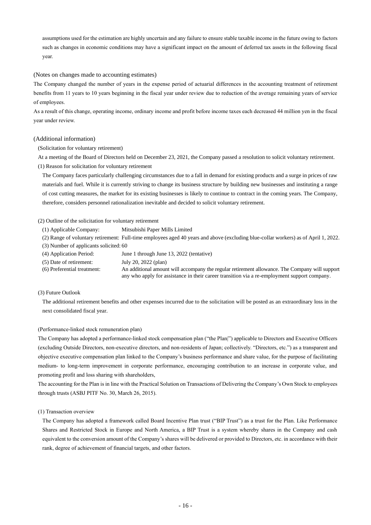assumptions used for the estimation are highly uncertain and any failure to ensure stable taxable income in the future owing to factors such as changes in economic conditions may have a significant impact on the amount of deferred tax assets in the following fiscal year.

#### (Notes on changes made to accounting estimates)

The Company changed the number of years in the expense period of actuarial differences in the accounting treatment of retirement benefits from 11 years to 10 years beginning in the fiscal year under review due to reduction of the average remaining years of service of employees.

As a result of this change, operating income, ordinary income and profit before income taxes each decreased 44 million yen in the fiscal year under review.

#### (Additional information)

(Solicitation for voluntary retirement)

At a meeting of the Board of Directors held on December 23, 2021, the Company passed a resolution to solicit voluntary retirement.

## (1) Reason for solicitation for voluntary retirement

The Company faces particularly challenging circumstances due to a fall in demand for existing products and a surge in prices of raw materials and fuel. While it is currently striving to change its business structure by building new businesses and instituting a range of cost cutting measures, the market for its existing businesses is likely to continue to contract in the coming years. The Company, therefore, considers personnel rationalization inevitable and decided to solicit voluntary retirement.

#### (2) Outline of the solicitation for voluntary retirement

- (1) Applicable Company: Mitsubishi Paper Mills Limited
- (2) Range of voluntary retirement: Full-time employees aged 40 years and above (excluding blue-collar workers) as of April 1, 2022.
- (3) Number of applicants solicited: 60
- (4) Application Period: June 1 through June 13, 2022 (tentative)
- (5) Date of retirement: July 20, 2022 (plan)
- (6) Preferential treatment: An additional amount will accompany the regular retirement allowance. The Company will support any who apply for assistance in their career transition via a re-employment support company.

#### (3) Future Outlook

The additional retirement benefits and other expenses incurred due to the solicitation will be posted as an extraordinary loss in the next consolidated fiscal year.

#### (Performance-linked stock remuneration plan)

The Company has adopted a performance-linked stock compensation plan ("the Plan|") applicable to Directors and Executive Officers (excluding Outside Directors, non-executive directors, and non-residents of Japan; collectively. "Directors, etc.") as a transparent and objective executive compensation plan linked to the Company's business performance and share value, for the purpose of facilitating medium- to long-term improvement in corporate performance, encouraging contribution to an increase in corporate value, and promoting profit and loss sharing with shareholders,

The accounting for the Plan is in line with the Practical Solution on Transactions of Delivering the Company's Own Stock to employees through trusts (ASBJ PITF No. 30, March 26, 2015).

#### (1) Transaction overview

The Company has adopted a framework called Board Incentive Plan trust ("BIP Trust") as a trust for the Plan. Like Performance Shares and Restricted Stock in Europe and North America, a BIP Trust is a system whereby shares in the Company and cash equivalent to the conversion amount of the Company's shares will be delivered or provided to Directors, etc. in accordance with their rank, degree of achievement of financial targets, and other factors.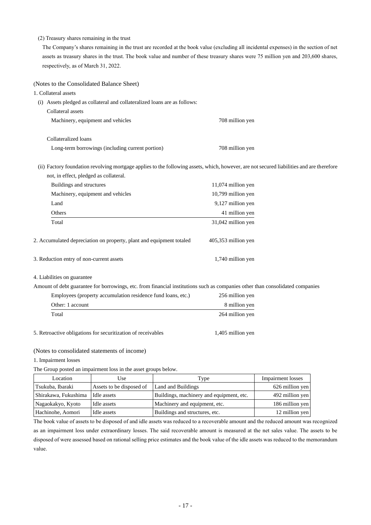# (2) Treasury shares remaining in the trust

The Company's shares remaining in the trust are recorded at the book value (excluding all incidental expenses) in the section of net assets as treasury shares in the trust. The book value and number of these treasury shares were 75 million yen and 203,600 shares, respectively, as of March 31, 2022.

(Notes to the Consolidated Balance Sheet)

1. Collateral assets

| (i) Assets pledged as collateral and collateralized loans are as follows: |                 |
|---------------------------------------------------------------------------|-----------------|
| Collateral assets                                                         |                 |
| Machinery, equipment and vehicles                                         | 708 million yen |
|                                                                           |                 |
| Collateralized loans                                                      |                 |
| Long-term borrowings (including current portion)                          | 708 million yen |

(ii) Factory foundation revolving mortgage applies to the following assets, which, however, are not secured liabilities and are therefore not, in effect, pledged as collateral.

| Buildings and structures                                             | 11,074 million yen    |
|----------------------------------------------------------------------|-----------------------|
| Machinery, equipment and vehicles                                    | 10,799 million yen    |
| Land                                                                 | 9,127 million yen     |
| Others                                                               | 41 million yen        |
| Total                                                                | 31,042 million yen    |
| 2. Accumulated depreciation on property, plant and equipment totaled | $405,353$ million yen |
| 3. Reduction entry of non-current assets                             | 1,740 million yen     |

4. Liabilities on guarantee

Amount of debt guarantee for borrowings, etc. from financial institutions such as companies other than consolidated companies

| Employees (property accumulation residence fund loans, etc.) | 256 million yen |
|--------------------------------------------------------------|-----------------|
| Other: 1 account                                             | 8 million yen   |
| Total                                                        | 264 million yen |

5. Retroactive obligations for securitization of receivables 1,405 million yen

(Notes to consolidated statements of income)

1. Impairment losses

The Group posted an impairment loss in the asset groups below.

| Location             | Use                      | Type                                     | <b>Impairment</b> losses |
|----------------------|--------------------------|------------------------------------------|--------------------------|
| Tsukuba, Ibaraki     | Assets to be disposed of | Land and Buildings                       | 626 million yen          |
| Shirakawa, Fukushima | Idle assets              | Buildings, machinery and equipment, etc. | 492 million yen          |
| Nagaokakyo, Kyoto    | Idle assets              | Machinery and equipment, etc.            | 186 million yen          |
| Hachinohe, Aomori    | Idle assets              | Buildings and structures, etc.           | 12 million yen           |

The book value of assets to be disposed of and idle assets was reduced to a recoverable amount and the reduced amount was recognized as an impairment loss under extraordinary losses. The said recoverable amount is measured at the net sales value. The assets to be disposed of were assessed based on rational selling price estimates and the book value of the idle assets was reduced to the memorandum value.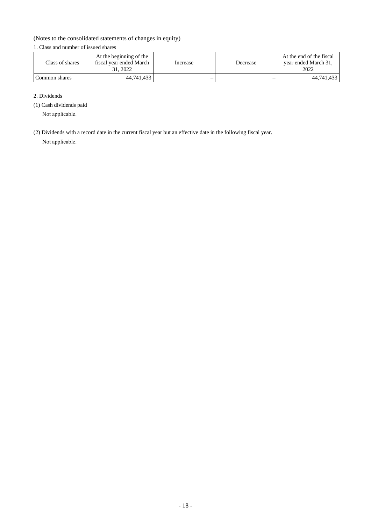# (Notes to the consolidated statements of changes in equity)

# 1. Class and number of issued shares

| Class of shares | At the beginning of the<br>fiscal year ended March<br>31, 2022 | Increase                 | Decrease | At the end of the fiscal<br>year ended March 31,<br>2022 |
|-----------------|----------------------------------------------------------------|--------------------------|----------|----------------------------------------------------------|
| Common shares   | 44.741.433                                                     | $\overline{\phantom{a}}$ | -        | 44.741.433                                               |

2. Dividends

(1) Cash dividends paid

Not applicable.

(2) Dividends with a record date in the current fiscal year but an effective date in the following fiscal year. Not applicable.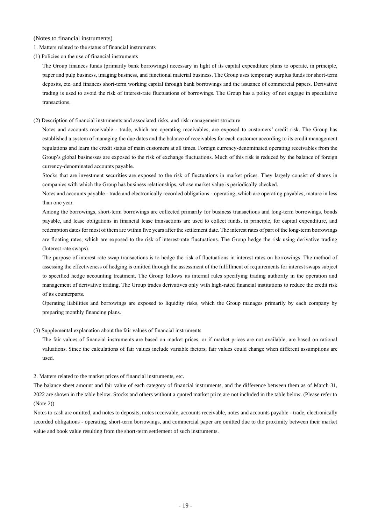#### (Notes to financial instruments)

- 1. Matters related to the status of financial instruments
- (1) Policies on the use of financial instruments

The Group finances funds (primarily bank borrowings) necessary in light of its capital expenditure plans to operate, in principle, paper and pulp business, imaging business, and functional material business. The Group uses temporary surplus funds for short-term deposits, etc. and finances short-term working capital through bank borrowings and the issuance of commercial papers. Derivative trading is used to avoid the risk of interest-rate fluctuations of borrowings. The Group has a policy of not engage in speculative transactions.

(2) Description of financial instruments and associated risks, and risk management structure

Notes and accounts receivable - trade, which are operating receivables, are exposed to customers' credit risk. The Group has established a system of managing the due dates and the balance of receivables for each customer according to its credit management regulations and learn the credit status of main customers at all times. Foreign currency-denominated operating receivables from the Group's global businesses are exposed to the risk of exchange fluctuations. Much of this risk is reduced by the balance of foreign currency-denominated accounts payable.

Stocks that are investment securities are exposed to the risk of fluctuations in market prices. They largely consist of shares in companies with which the Group has business relationships, whose market value is periodically checked.

Notes and accounts payable - trade and electronically recorded obligations - operating, which are operating payables, mature in less than one year.

Among the borrowings, short-term borrowings are collected primarily for business transactions and long-term borrowings, bonds payable, and lease obligations in financial lease transactions are used to collect funds, in principle, for capital expenditure, and redemption dates for most of them are within five years after the settlement date. The interest rates of part of the long-term borrowings are floating rates, which are exposed to the risk of interest-rate fluctuations. The Group hedge the risk using derivative trading (Interest rate swaps).

The purpose of interest rate swap transactions is to hedge the risk of fluctuations in interest rates on borrowings. The method of assessing the effectiveness of hedging is omitted through the assessment of the fulfillment of requirements for interest swaps subject to specified hedge accounting treatment. The Group follows its internal rules specifying trading authority in the operation and management of derivative trading. The Group trades derivatives only with high-rated financial institutions to reduce the credit risk of its counterparts.

Operating liabilities and borrowings are exposed to liquidity risks, which the Group manages primarily by each company by preparing monthly financing plans.

(3) Supplemental explanation about the fair values of financial instruments

The fair values of financial instruments are based on market prices, or if market prices are not available, are based on rational valuations. Since the calculations of fair values include variable factors, fair values could change when different assumptions are used.

#### 2. Matters related to the market prices of financial instruments, etc.

The balance sheet amount and fair value of each category of financial instruments, and the difference between them as of March 31, 2022 are shown in the table below. Stocks and others without a quoted market price are not included in the table below. (Please refer to (Note 2))

Notes to cash are omitted, and notes to deposits, notes receivable, accounts receivable, notes and accounts payable - trade, electronically recorded obligations - operating, short-term borrowings, and commercial paper are omitted due to the proximity between their market value and book value resulting from the short-term settlement of such instruments.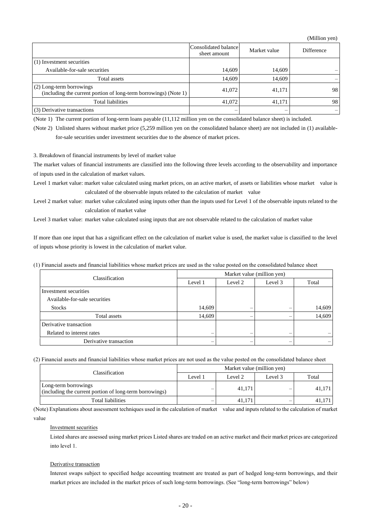|                                                                                              | Consolidated balance<br>sheet amount | Market value | Difference |
|----------------------------------------------------------------------------------------------|--------------------------------------|--------------|------------|
| (1) Investment securities                                                                    |                                      |              |            |
| Available-for-sale securities                                                                | 14,609                               | 14,609       |            |
| Total assets                                                                                 | 14,609                               | 14.609       |            |
| (2) Long-term borrowings<br>(including the current portion of long-term borrowings) (Note 1) | 41,072                               | 41,171       | 98         |
| Total liabilities                                                                            | 41,072                               | 41,171       | 98         |
| (3) Derivative transactions                                                                  |                                      |              |            |

(Note 1) The current portion of long-term loans payable (11,112 million yen on the consolidated balance sheet) is included.

(Note 2) Unlisted shares without market price (5,259 million yen on the consolidated balance sheet) are not included in (1) availablefor-sale securities under investment securities due to the absence of market prices.

3. Breakdown of financial instruments by level of market value

The market values of financial instruments are classified into the following three levels according to the observability and importance of inputs used in the calculation of market values.

Level 1 market value: market value calculated using market prices, on an active market, of assets or liabilities whose market value is calculated of the observable inputs related to the calculation of market value

Level 2 market value: market value calculated using inputs other than the inputs used for Level 1 of the observable inputs related to the calculation of market value

Level 3 market value: market value calculated using inputs that are not observable related to the calculation of market value

If more than one input that has a significant effect on the calculation of market value is used, the market value is classified to the level of inputs whose priority is lowest in the calculation of market value.

(1) Financial assets and financial liabilities whose market prices are used as the value posted on the consolidated balance sheet

| Classification                | Market value (million yen) |                          |         |        |  |
|-------------------------------|----------------------------|--------------------------|---------|--------|--|
|                               | Level 1                    | Level 2                  | Level 3 | Total  |  |
| Investment securities         |                            |                          |         |        |  |
| Available-for-sale securities |                            |                          |         |        |  |
| <b>Stocks</b>                 | 14,609                     | $\overline{\phantom{a}}$ |         | 14,609 |  |
| Total assets                  | 14,609                     |                          |         | 14,609 |  |
| Derivative transaction        |                            |                          |         |        |  |
| Related to interest rates     | –                          |                          |         |        |  |
| Derivative transaction        |                            |                          |         |        |  |

(2) Financial assets and financial liabilities whose market prices are not used as the value posted on the consolidated balance sheet

| Classification                                                                  | Market value (million yen) |         |         |        |  |
|---------------------------------------------------------------------------------|----------------------------|---------|---------|--------|--|
|                                                                                 | Level 1                    | Level 2 | Level 3 | Total  |  |
| Long-term borrowings<br>(including the current portion of long-term borrowings) |                            | 41.171  |         | 41.171 |  |
| Total liabilities                                                               |                            | 41.171  | –       |        |  |

(Note) Explanations about assessment techniques used in the calculation of market value and inputs related to the calculation of market value

#### Investment securities

Listed shares are assessed using market prices Listed shares are traded on an active market and their market prices are categorized into level 1.

# Derivative transaction

Interest swaps subject to specified hedge accounting treatment are treated as part of hedged long-term borrowings, and their market prices are included in the market prices of such long-term borrowings. (See "long-term borrowings" below)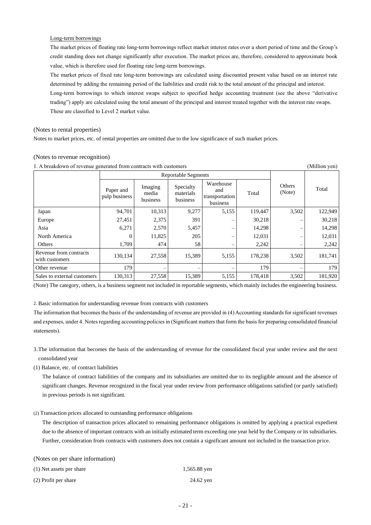# Long-term borrowings

The market prices of floating rate long-term borrowings reflect market interest rates over a short period of time and the Group's credit standing does not change significantly after execution. The market prices are, therefore, considered to approximate book value, which is therefore used for floating rate long-term borrowings.

The market prices of fixed rate long-term borrowings are calculated using discounted present value based on an interest rate determined by adding the remaining period of the liabilities and credit risk to the total amount of the principal and interest.

Long-term borrowings to which interest swaps subject to specified hedge accounting treatment (see the above "derivative trading") apply are calculated using the total amount of the principal and interest treated together with the interest rate swaps. These are classified to Level 2 market value.

#### (Notes to rental properties)

Notes to market prices, etc. of rental properties are omitted due to the low significance of such market prices.

#### (Notes to revenue recognition)

| 1. A breakdown of revenue generated from contracts with customers |                            |                              |                                    |                                                |         |                  | (Million yen) |  |
|-------------------------------------------------------------------|----------------------------|------------------------------|------------------------------------|------------------------------------------------|---------|------------------|---------------|--|
|                                                                   | <b>Reportable Segments</b> |                              |                                    |                                                |         |                  |               |  |
|                                                                   | Paper and<br>pulp business | Imaging<br>media<br>business | Specialty<br>materials<br>business | Warehouse<br>and<br>transportation<br>business | Total   | Others<br>(Note) | Total         |  |
| Japan                                                             | 94,701                     | 10,313                       | 9,277                              | 5,155                                          | 119,447 | 3,502            | 122,949       |  |
| Europe                                                            | 27,451                     | 2,375                        | 391                                |                                                | 30,218  |                  | 30,218        |  |
| Asia                                                              | 6,271                      | 2,570                        | 5,457                              |                                                | 14,298  |                  | 14,298        |  |
| North America                                                     | 0                          | 11,825                       | 205                                |                                                | 12,031  |                  | 12,031        |  |
| Others                                                            | 1,709                      | 474                          | 58                                 |                                                | 2,242   |                  | 2,242         |  |
| Revenue from contracts<br>with customers                          | 130,134                    | 27,558                       | 15,389                             | 5,155                                          | 178,238 | 3,502            | 181,741       |  |
| Other revenue                                                     | 179                        |                              |                                    |                                                | 179     |                  | 179           |  |
| Sales to external customers                                       | 130,313                    | 27,558                       | 15,389                             | 5,155                                          | 178,418 | 3,502            | 181,920       |  |

(Note) The category, others, is a business segment not included in reportable segments, which mainly includes the engineering business.

2. Basic information for understanding revenue from contracts with customers

The information that becomes the basis of the understanding of revenue are provided in (4) Accounting standards for significant revenues and expenses, under 4. Notes regarding accounting policies in (Significant matters that form the basis for preparing consolidated financial statements).

3.The information that becomes the basis of the understanding of revenue for the consolidated fiscal year under review and the next consolidated year

(1) Balance, etc. of contract liabilities

The balance of contract liabilities of the company and its subsidiaries are omitted due to its negligible amount and the absence of significant changes. Revenue recognized in the fiscal year under review from performance obligations satisfied (or partly satisfied) in previous periods is not significant.

#### (2) Transaction prices allocated to outstanding performance obligations

The description of transaction prices allocated to remaining performance obligations is omitted by applying a practical expedient due to the absence of important contracts with an initially estimated term exceeding one year held by the Company or its subsidiaries. Further, consideration from contracts with customers does not contain a significant amount not included in the transaction price.

#### (Notes on per share information)

| (1) Net assets per share | 1,565.88 yen |
|--------------------------|--------------|
| (2) Profit per share     | 24.62 yen    |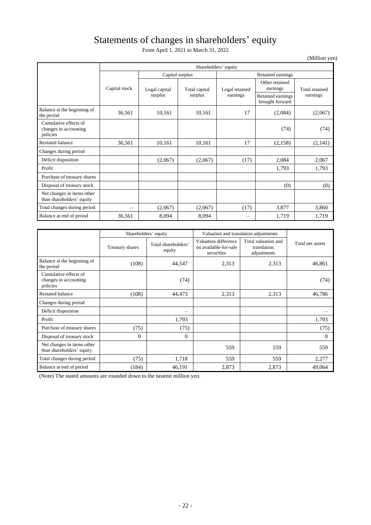# Statements of changes in shareholders' equity

From April 1, 2021 to March 31, 2022

(Million yen)

|                                                            |                                |                 |         | Shareholders' equity |                                      |                            |                |
|------------------------------------------------------------|--------------------------------|-----------------|---------|----------------------|--------------------------------------|----------------------------|----------------|
|                                                            |                                | Capital surplus |         |                      |                                      |                            |                |
|                                                            | Capital stock<br>Legal capital | Total capital   |         |                      | Legal retained                       | Other retained<br>earnings | Total retained |
|                                                            |                                | surplus         | surplus | earnings             | Retained earnings<br>brought forward | earnings                   |                |
| Balance at the beginning of<br>the period                  | 36,561                         | 10,161          | 10,161  | 17                   | (2,084)                              | (2,067)                    |                |
| Cumulative effects of<br>changes in accounting<br>policies |                                |                 |         |                      | (74)                                 | (74)                       |                |
| <b>Restated balance</b>                                    | 36,561                         | 10,161          | 10,161  | 17                   | (2,158)                              | (2,141)                    |                |
| Changes during period                                      |                                |                 |         |                      |                                      |                            |                |
| Deficit disposition                                        |                                | (2,067)         | (2,067) | (17)                 | 2,084                                | 2,067                      |                |
| Profit                                                     |                                |                 |         |                      | 1,793                                | 1,793                      |                |
| Purchase of treasury shares                                |                                |                 |         |                      |                                      |                            |                |
| Disposal of treasury stock                                 |                                |                 |         |                      | (0)                                  | (0)                        |                |
| Net changes in items other<br>than shareholders' equity    |                                |                 |         |                      |                                      |                            |                |
| Total changes during period                                | $\overline{\phantom{0}}$       | (2,067)         | (2,067) | (17)                 | 3,877                                | 3,860                      |                |
| Balance at end of period                                   | 36,561                         | 8,094           | 8,094   | -                    | 1,719                                | 1,719                      |                |

|                                                            | Shareholders' equity |                               | Valuation and translation adjustments                       |                                                   |                  |
|------------------------------------------------------------|----------------------|-------------------------------|-------------------------------------------------------------|---------------------------------------------------|------------------|
|                                                            | Treasury shares      | Total shareholders'<br>equity | Valuation difference<br>on available-for-sale<br>securities | Total valuation and<br>translation<br>adjustments | Total net assets |
| Balance at the beginning of<br>the period                  | (108)                | 44,547                        | 2,313                                                       | 2,313                                             | 46,861           |
| Cumulative effects of<br>changes in accounting<br>policies |                      | (74)                          |                                                             |                                                   | (74)             |
| <b>Restated balance</b>                                    | (108)                | 44,473                        | 2,313                                                       | 2,313                                             | 46,786           |
| Changes during period                                      |                      |                               |                                                             |                                                   |                  |
| Deficit disposition                                        |                      | —                             |                                                             |                                                   |                  |
| Profit                                                     |                      | 1,793                         |                                                             |                                                   | 1,793            |
| Purchase of treasury shares                                | (75)                 | (75)                          |                                                             |                                                   | (75)             |
| Disposal of treasury stock                                 | $\Omega$             | $\Omega$                      |                                                             |                                                   | $\Omega$         |
| Net changes in items other<br>than shareholders' equity    |                      |                               | 559                                                         | 559                                               | 559              |
| Total changes during period                                | (75)                 | 1,718                         | 559                                                         | 559                                               | 2,277            |
| Balance at end of period                                   | (184)                | 46,191                        | 2,873                                                       | 2,873                                             | 49,064           |

(Note) The stated amounts are rounded down to the nearest million yen.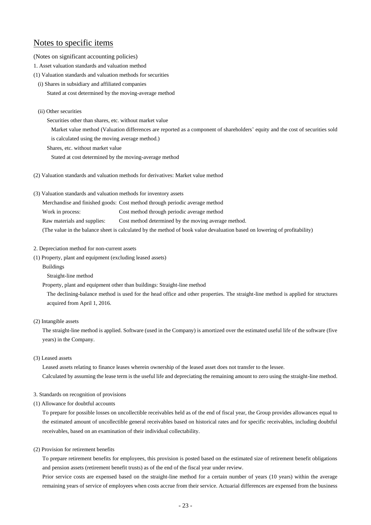# Notes to specific items

(Notes on significant accounting policies)

- 1. Asset valuation standards and valuation method
- (1) Valuation standards and valuation methods for securities
- (i) Shares in subsidiary and affiliated companies Stated at cost determined by the moving-average method
- (ii) Other securities

Securities other than shares, etc. without market value

Market value method (Valuation differences are reported as a component of shareholders' equity and the cost of securities sold

is calculated using the moving average method.)

- Shares, etc. without market value
- Stated at cost determined by the moving-average method

(2) Valuation standards and valuation methods for derivatives: Market value method

(3) Valuation standards and valuation methods for inventory assets

Merchandise and finished goods: Cost method through periodic average method Work in process:<br>Cost method through periodic average method Raw materials and supplies: Cost method determined by the moving average method. (The value in the balance sheet is calculated by the method of book value devaluation based on lowering of profitability)

- 2. Depreciation method for non-current assets
- (1) Property, plant and equipment (excluding leased assets)
	- Buildings

Straight-line method

Property, plant and equipment other than buildings: Straight-line method

The declining-balance method is used for the head office and other properties. The straight-line method is applied for structures acquired from April 1, 2016.

#### (2) Intangible assets

The straight-line method is applied. Software (used in the Company) is amortized over the estimated useful life of the software (five years) in the Company.

# (3) Leased assets

Leased assets relating to finance leases wherein ownership of the leased asset does not transfer to the lessee. Calculated by assuming the lease term is the useful life and depreciating the remaining amount to zero using the straight-line method.

#### 3. Standards on recognition of provisions

(1) Allowance for doubtful accounts

To prepare for possible losses on uncollectible receivables held as of the end of fiscal year, the Group provides allowances equal to the estimated amount of uncollectible general receivables based on historical rates and for specific receivables, including doubtful receivables, based on an examination of their individual collectability.

(2) Provision for retirement benefits

To prepare retirement benefits for employees, this provision is posted based on the estimated size of retirement benefit obligations and pension assets (retirement benefit trusts) as of the end of the fiscal year under review.

Prior service costs are expensed based on the straight-line method for a certain number of years (10 years) within the average remaining years of service of employees when costs accrue from their service. Actuarial differences are expensed from the business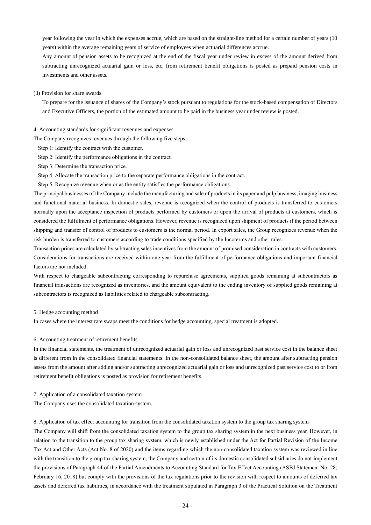year following the year in which the expenses accrue, which are based on the straight-line method for a certain number of years (10 years) within the average remaining years of service of employees when actuarial differences accrue.

Any amount of pension assets to be recognized at the end of the fiscal year under review in excess of the amount derived from subtracting unrecognized actuarial gain or loss, etc. from retirement benefit obligations is posted as prepaid pension costs in investments and other assets.

#### (3) Provision for share awards

To prepare for the issuance of shares of the Company's stock pursuant to regulations for the stock-based compensation of Directors and Executive Officers, the portion of the estimated amount to be paid in the business year under review is posted.

#### 4. Accounting standards for significant revenues and expenses

The Company recognizes revenues through the following five steps:

- Step 1: Identify the contract with the customer.
- Step 2: Identify the performance obligations in the contract.
- Step 3: Determine the transaction price.
- Step 4: Allocate the transaction price to the separate performance obligations in the contract.

Step 5: Recognize revenue when or as the entity satisfies the performance obligations.

The principal businesses of the Company include the manufacturing and sale of products in its paper and pulp business, imaging business and functional material business. In domestic sales, revenue is recognized when the control of products is transferred to customers normally upon the acceptance inspection of products performed by customers or upon the arrival of products at customers, which is considered the fulfillment of performance obligations. However, revenue is recognized upon shipment of products if the period between shipping and transfer of control of products to customers is the normal period. In export sales, the Group recognizes revenue when the risk burden is transferred to customers according to trade conditions specified by the Incoterms and other rules.

Transaction prices are calculated by subtracting sales incentives from the amount of promised consideration in contracts with customers. Considerations for transactions are received within one year from the fulfillment of performance obligations and important financial factors are not included.

With respect to chargeable subcontracting corresponding to repurchase agreements, supplied goods remaining at subcontractors as financial transactions are recognized as inventories, and the amount equivalent to the ending inventory of supplied goods remaining at subcontractors is recognized as liabilities related to chargeable subcontracting.

#### 5. Hedge accounting method

In cases where the interest rate swaps meet the conditions for hedge accounting, special treatment is adopted.

#### 6. Accounting treatment of retirement benefits

In the financial statements, the treatment of unrecognized actuarial gain or loss and unrecognized past service cost in the balance sheet is different from in the consolidated financial statements. In the non-consolidated balance sheet, the amount after subtracting pension assets from the amount after adding and/or subtracting unrecognized actuarial gain or loss and unrecognized past service cost to or from retirement benefit obligations is posted as provision for retirement benefits.

#### 7. Application of a consolidated taxation system

The Company uses the consolidated taxation system.

8. Application of tax effect accounting for transition from the consolidated taxation system to the group tax sharing system

The Company will shift from the consolidated taxation system to the group tax sharing system in the next business year. However, in relation to the transition to the group tax sharing system, which is newly established under the Act for Partial Revision of the Income Tax Act and Other Acts (Act No. 8 of 2020) and the items regarding which the non-consolidated taxation system was reviewed in line with the transition to the group tax sharing system, the Company and certain of its domestic consolidated subsidiaries do not implement the provisions of Paragraph 44 of the Partial Amendments to Accounting Standard for Tax Effect Accounting (ASBJ Statement No. 28; February 16, 2018) but comply with the provisions of the tax regulations prior to the revision with respect to amounts of deferred tax assets and deferred tax liabilities, in accordance with the treatment stipulated in Paragraph 3 of the Practical Solution on the Treatment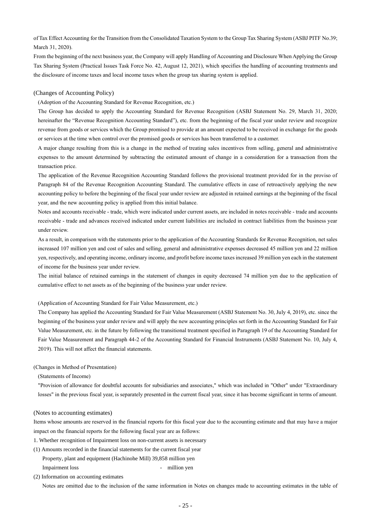of Tax Effect Accounting for the Transition from the Consolidated Taxation System to the Group Tax Sharing System (ASBJ PITF No.39; March 31, 2020).

From the beginning of the next business year, the Company will apply Handling of Accounting and Disclosure When Applying the Group Tax Sharing System (Practical Issues Task Force No. 42, August 12, 2021), which specifies the handling of accounting treatments and the disclosure of income taxes and local income taxes when the group tax sharing system is applied.

#### (Changes of Accounting Policy)

(Adoption of the Accounting Standard for Revenue Recognition, etc.)

The Group has decided to apply the Accounting Standard for Revenue Recognition (ASBJ Statement No. 29, March 31, 2020; hereinafter the "Revenue Recognition Accounting Standard"), etc. from the beginning of the fiscal year under review and recognize revenue from goods or services which the Group promised to provide at an amount expected to be received in exchange for the goods or services at the time when control over the promised goods or services has been transferred to a customer.

A major change resulting from this is a change in the method of treating sales incentives from selling, general and administrative expenses to the amount determined by subtracting the estimated amount of change in a consideration for a transaction from the transaction price.

The application of the Revenue Recognition Accounting Standard follows the provisional treatment provided for in the proviso of Paragraph 84 of the Revenue Recognition Accounting Standard. The cumulative effects in case of retroactively applying the new accounting policy to before the beginning of the fiscal year under review are adjusted in retained earnings at the beginning of the fiscal year, and the new accounting policy is applied from this initial balance.

Notes and accounts receivable - trade, which were indicated under current assets, are included in notes receivable - trade and accounts receivable - trade and advances received indicated under current liabilities are included in contract liabilities from the business year under review.

As a result, in comparison with the statements prior to the application of the Accounting Standards for Revenue Recognition, net sales increased 107 million yen and cost of sales and selling, general and administrative expenses decreased 45 million yen and 22 million yen, respectively, and operating income, ordinary income, and profit before income taxes increased 39 million yen each in the statement of income for the business year under review.

The initial balance of retained earnings in the statement of changes in equity decreased 74 million yen due to the application of cumulative effect to net assets as of the beginning of the business year under review.

#### (Application of Accounting Standard for Fair Value Measurement, etc.)

The Company has applied the Accounting Standard for Fair Value Measurement (ASBJ Statement No. 30, July 4, 2019), etc. since the beginning of the business year under review and will apply the new accounting principles set forth in the Accounting Standard for Fair Value Measurement, etc. in the future by following the transitional treatment specified in Paragraph 19 of the Accounting Standard for Fair Value Measurement and Paragraph 44-2 of the Accounting Standard for Financial Instruments (ASBJ Statement No. 10, July 4, 2019). This will not affect the financial statements.

#### (Changes in Method of Presentation)

(Statements of Income)

"Provision of allowance for doubtful accounts for subsidiaries and associates," which was included in "Other" under "Extraordinary losses" in the previous fiscal year, is separately presented in the current fiscal year, since it has become significant in terms of amount.

#### (Notes to accounting estimates)

Items whose amounts are reserved in the financial reports for this fiscal year due to the accounting estimate and that may have a major impact on the financial reports for the following fiscal year are as follows:

- 1. Whether recognition of Impairment loss on non-current assets is necessary
- (1) Amounts recorded in the financial statements for the current fiscal year

Property, plant and equipment (Hachinohe Mill) 39,858 million yen Impairment loss - million yen

(2) Information on accounting estimates

Notes are omitted due to the inclusion of the same information in Notes on changes made to accounting estimates in the table of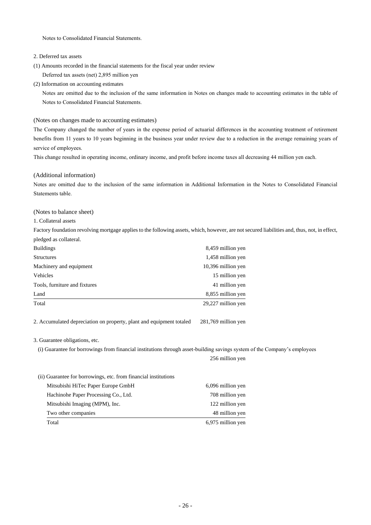Notes to Consolidated Financial Statements.

2. Deferred tax assets

(1) Amounts recorded in the financial statements for the fiscal year under review Deferred tax assets (net) 2,895 million yen

(2) Information on accounting estimates

Notes are omitted due to the inclusion of the same information in Notes on changes made to accounting estimates in the table of Notes to Consolidated Financial Statements.

#### (Notes on changes made to accounting estimates)

The Company changed the number of years in the expense period of actuarial differences in the accounting treatment of retirement benefits from 11 years to 10 years beginning in the business year under review due to a reduction in the average remaining years of service of employees.

This change resulted in operating income, ordinary income, and profit before income taxes all decreasing 44 million yen each.

# (Additional information)

Notes are omitted due to the inclusion of the same information in Additional Information in the Notes to Consolidated Financial Statements table.

(Notes to balance sheet)

1. Collateral assets

Factory foundation revolving mortgage applies to the following assets, which, however, are not secured liabilities and, thus, not, in effect, pledged as collateral.

| <b>Buildings</b>              | 8,459 million yen  |
|-------------------------------|--------------------|
| <b>Structures</b>             | 1,458 million yen  |
| Machinery and equipment       | 10,396 million yen |
| <b>Vehicles</b>               | 15 million yen     |
| Tools, furniture and fixtures | 41 million yen     |
| Land                          | 8,855 million yen  |
| Total                         | 29,227 million yen |

2. Accumulated depreciation on property, plant and equipment totaled 281,769 million yen

3. Guarantee obligations, etc.

(i) Guarantee for borrowings from financial institutions through asset-building savings system of the Company's employees

256 million yen

| (ii) Guarantee for borrowings, etc. from financial institutions |                   |
|-----------------------------------------------------------------|-------------------|
| Mitsubishi HiTec Paper Europe GmbH                              | 6,096 million yen |
| Hachinohe Paper Processing Co., Ltd.                            | 708 million yen   |
| Mitsubishi Imaging (MPM), Inc.                                  | 122 million yen   |
| Two other companies                                             | 48 million yen    |
| Total                                                           | 6,975 million yen |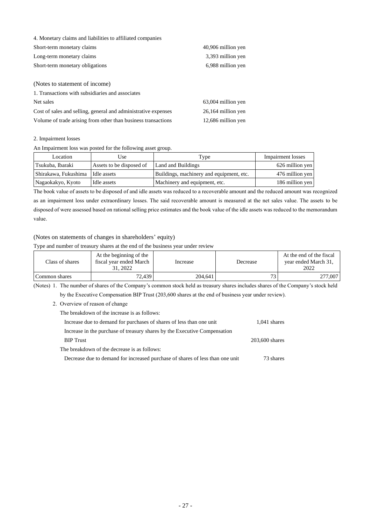| 4. Monetary claims and liabilities to affiliated companies     |                    |
|----------------------------------------------------------------|--------------------|
| Short-term monetary claims                                     | 40,906 million yen |
| Long-term monetary claims                                      | 3,393 million yen  |
| Short-term monetary obligations                                | 6,988 million yen  |
|                                                                |                    |
| (Notes to statement of income)                                 |                    |
| 1. Transactions with subsidiaries and associates               |                    |
| Net sales                                                      | 63,004 million yen |
| Cost of sales and selling, general and administrative expenses | 26,164 million yen |
| Volume of trade arising from other than business transactions  | 12,686 million yen |
|                                                                |                    |

2. Impairment losses

An Impairment loss was posted for the following asset group.

| Location                         | Use                      | Type                                     | <b>Impairment</b> losses |
|----------------------------------|--------------------------|------------------------------------------|--------------------------|
| Tsukuba, Ibaraki                 | Assets to be disposed of | Land and Buildings                       | 626 million yen          |
| Shirakawa, Fukushima Idle assets |                          | Buildings, machinery and equipment, etc. | 476 million yen          |
| Nagaokakyo, Kyoto                | Idle assets              | Machinery and equipment, etc.            | 186 million yen          |

The book value of assets to be disposed of and idle assets was reduced to a recoverable amount and the reduced amount was recognized as an impairment loss under extraordinary losses. The said recoverable amount is measured at the net sales value. The assets to be disposed of were assessed based on rational selling price estimates and the book value of the idle assets was reduced to the memorandum value.

# (Notes on statements of changes in shareholders' equity)

Type and number of treasury shares at the end of the business year under review

| Class of shares | At the beginning of the<br>fiscal vear ended March<br>31, 2022 | Increase | Decrease | At the end of the fiscal<br>year ended March 31,<br>2022 |
|-----------------|----------------------------------------------------------------|----------|----------|----------------------------------------------------------|
| Common shares   | 72.439                                                         | 204.641  | 73       | 277,007                                                  |

(Notes) 1. The number of shares of the Company's common stock held as treasury shares includes shares of the Company's stock held by the Executive Compensation BIP Trust (203,600 shares at the end of business year under review).

2. Overview of reason of change

| The breakdown of the increase is as follows: |
|----------------------------------------------|
|----------------------------------------------|

| Increase due to demand for purchases of shares of less than one unit          | $1,041$ shares |
|-------------------------------------------------------------------------------|----------------|
| Increase in the purchase of treasury shares by the Executive Compensation     |                |
| <b>BIP</b> Trust                                                              | 203,600 shares |
| The breakdown of the decrease is as follows:                                  |                |
| Decrease due to demand for increased purchase of shares of less than one unit | 73 shares      |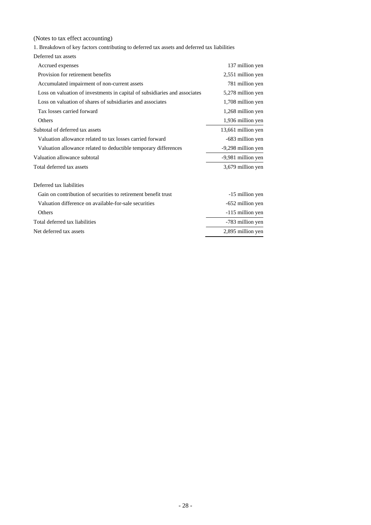(Notes to tax effect accounting)

1. Breakdown of key factors contributing to deferred tax assets and deferred tax liabilities

| Accrued expenses                                                           | 137 million yen    |  |  |
|----------------------------------------------------------------------------|--------------------|--|--|
| Provision for retirement benefits                                          | 2,551 million yen  |  |  |
| Accumulated impairment of non-current assets                               | 781 million yen    |  |  |
| Loss on valuation of investments in capital of subsidiaries and associates | 5,278 million yen  |  |  |
| Loss on valuation of shares of subsidiaries and associates                 | 1,708 million yen  |  |  |
| Tax losses carried forward                                                 | 1,268 million yen  |  |  |
| Others                                                                     | 1,936 million yen  |  |  |
| Subtotal of deferred tax assets                                            | 13,661 million yen |  |  |
| Valuation allowance related to tax losses carried forward                  | -683 million yen   |  |  |
| Valuation allowance related to deductible temporary differences            | -9,298 million yen |  |  |
| Valuation allowance subtotal                                               | -9,981 million yen |  |  |
| Total deferred tax assets                                                  | 3,679 million yen  |  |  |
| Deferred tax liabilities                                                   |                    |  |  |
| Gain on contribution of securities to retirement benefit trust             | -15 million yen    |  |  |
| Valuation difference on available-for-sale securities                      | -652 million yen   |  |  |
| Others                                                                     | -115 million yen   |  |  |
| Total deferred tax liabilities                                             | -783 million yen   |  |  |

Net deferred tax assets 2,895 million yen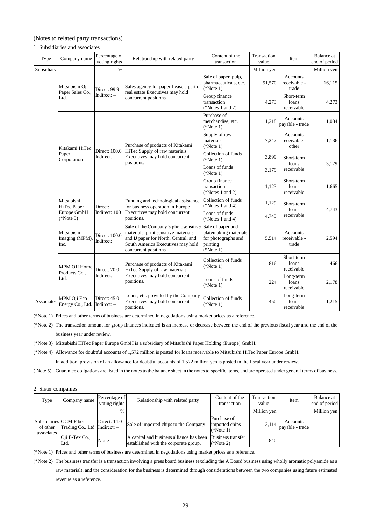# (Notes to related party transactions)

1. Subsidiaries and associates

| Type       | Company name                                            | Percentage of<br>voting rights | Relationship with related party                                                                                                                                                                      | Content of the<br>transaction                                           | Transaction<br>value | Item                                     | Balance at<br>end of period |
|------------|---------------------------------------------------------|--------------------------------|------------------------------------------------------------------------------------------------------------------------------------------------------------------------------------------------------|-------------------------------------------------------------------------|----------------------|------------------------------------------|-----------------------------|
| Subsidiary |                                                         | $\%$                           |                                                                                                                                                                                                      |                                                                         | Million yen          |                                          | Million yen                 |
|            | Mitsubishi Oji<br>Paper Sales Co.,<br>Ltd.              | Direct: 99.9<br>Indirect: -    | Sales agency for paper Lease a part of<br>real estate Executives may hold<br>concurrent positions.                                                                                                   | Sale of paper, pulp,<br>pharmaceuticals, etc.<br>$(*Note 1)$            | 51,570               | <b>Accounts</b><br>receivable -<br>trade | 16,115                      |
|            |                                                         |                                |                                                                                                                                                                                                      | Group finance<br>transaction<br>(*Notes 1 and 2)                        | 4,273                | Short-term<br>loans<br>receivable        | 4.273                       |
|            |                                                         |                                | Purchase of products of Kitakami                                                                                                                                                                     | Purchase of<br>merchandise, etc.<br>$(*Note 1)$                         | 11,218               | Accounts<br>payable - trade              | 1,084                       |
|            | Kitakami HiTec                                          |                                |                                                                                                                                                                                                      | Supply of raw<br>materials<br>$(*Note 1)$                               | 7,242                | <b>Accounts</b><br>receivable -<br>other | 1.136                       |
|            | Paper<br>Corporation                                    | Direct: 100.0<br>Indirect: $-$ | HiTec Supply of raw materials<br>Executives may hold concurrent<br>positions.                                                                                                                        | Collection of funds<br>$(*Note 1)$                                      | 3,899                | Short-term<br>loans                      | 3,179                       |
|            |                                                         |                                |                                                                                                                                                                                                      | Loans of funds<br>$(*Note 1)$                                           | 3,179                | receivable                               |                             |
|            |                                                         |                                |                                                                                                                                                                                                      | Group finance<br>transaction<br>(*Notes 1 and 2)                        | 1,123                | Short-term<br>loans<br>receivable        | 1.665                       |
|            | Mitsubishi<br>HiTec Paper<br>Europe GmbH<br>$(*Note 3)$ | $Direct: -$<br>Indirect: 100   | Funding and technological assistance<br>for business operation in Europe<br>Executives may hold concurrent<br>positions.                                                                             | Collection of funds<br>(*Notes 1 and 4)                                 | 1,129                | Short-term<br>loans                      | 4.743                       |
|            |                                                         |                                |                                                                                                                                                                                                      | Loans of funds<br>(*Notes 1 and 4)                                      | 4,743                | receivable                               |                             |
|            | Mitsubishi<br>Imaging (MPM),<br>Inc.                    | Direct: 100.0<br>Indirect: $-$ | Sale of the Company's photosensitive Sale of paper and<br>materials, print sensitive materials<br>and IJ paper for North, Central, and<br>South America Executives may hold<br>concurrent positions. | platemaking materials<br>for photographs and<br>printing<br>$(*Note 1)$ | 5,514                | Accounts<br>receivable -<br>trade        | 2,594                       |
|            | MPM OJI Home<br>Products Co.,<br>Ltd.                   | Direct: 70.0<br>$Indirect: -$  | Purchase of products of Kitakami<br>HiTec Supply of raw materials<br>Executives may hold concurrent<br>positions.                                                                                    | Collection of funds<br>$(*Note 1)$                                      | 816                  | Short-term<br>loans<br>receivable        | 466                         |
|            |                                                         |                                |                                                                                                                                                                                                      | Loans of funds<br>$(*Note 1)$                                           | 224                  | Long-term<br>loans<br>receivable         | 2.178                       |
| Associates | MPM Oji Eco<br>Energy Co., Ltd.                         | Direct: 45.0<br>Indirect: $-$  | Loans, etc. provided by the Company<br>Executives may hold concurrent<br>positions.                                                                                                                  | Collection of funds<br>$(*Note 1)$                                      | 450                  | Long-term<br>loans<br>receivable         | 1,215                       |

(\*Note 1) Prices and other terms of business are determined in negotiations using market prices as a reference.

(\*Note 2) The transaction amount for group finances indicated is an increase or decrease between the end of the previous fiscal year and the end of the business year under review.

(\*Note 3) Mitsubishi HiTec Paper Europe GmbH is a subsidiary of Mitsubishi Paper Holding (Europe) GmbH.

(\*Note 4) Allowance for doubtful accounts of 1,572 million is posted for loans receivable to Mitsubishi HiTec Paper Europe GmbH.

In addition, provision of an allowance for doubtful accounts of 1,572 million yen is posted in the fiscal year under review.

( Note 5) Guarantee obligations are listed in the notes to the balance sheet in the notes to specific items, and are operated under general terms of business.

2. Sister companies

| Type                                             | Company name                  | Percentage of<br>voting rights | Relationship with related party                                                   | Content of the<br>transaction                | Transaction<br>value | Item                        | Balance at<br>end of period |
|--------------------------------------------------|-------------------------------|--------------------------------|-----------------------------------------------------------------------------------|----------------------------------------------|----------------------|-----------------------------|-----------------------------|
|                                                  |                               | $\frac{0}{0}$                  |                                                                                   |                                              | Million yen          |                             | Million yen                 |
| Subsidiaries OCM Fiber<br>of other<br>associates | Trading Co., Ltd. Indirect: - | Direct: 14.0                   | Sale of imported chips to the Company                                             | Purchase of<br>imported chips<br>$(*Note 1)$ | 13,114               | Accounts<br>payable - trade |                             |
|                                                  | Oji F-Tex Co.,<br>Ltd.        | None                           | A capital and business alliance has been<br>established with the corporate group. | <b>Business transfer</b><br>$(*Note 2)$      | 840                  |                             |                             |

(\*Note 1) Prices and other terms of business are determined in negotiations using market prices as a reference.

(\*Note 2) The business transfer is a transaction involving a press board business (excluding the A Board business using wholly aromatic polyamide as a raw material), and the consideration for the business is determined through considerations between the two companies using future estimated revenue as a reference.